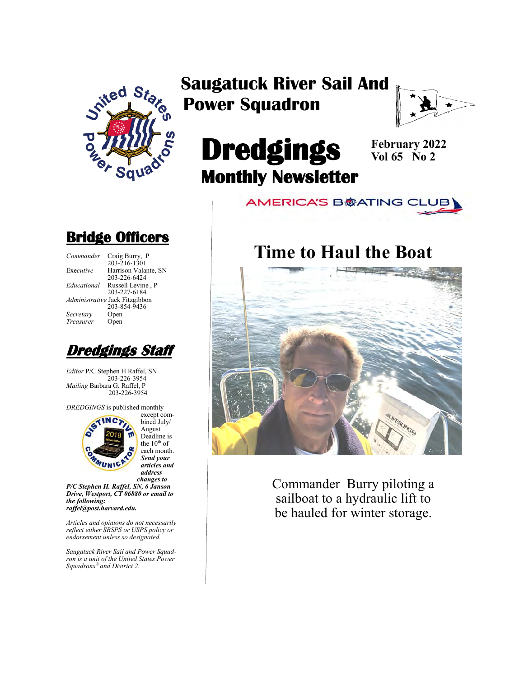

### **Saugatuck River Sail And Power Squadron**



# **Dredgings Monthly Newsletter**

**February 2022 Vol 65 No 2**

**AMERICA'S B@ATING CLUB** 

### **Time to Haul the Boat**



Commander Burry piloting a sailboat to a hydraulic lift to be hauled for winter storage.

### **Bridge Officers**

| Commander   | Craig Burry, P                 |
|-------------|--------------------------------|
|             | $203 - 216 - 1301$             |
| Executive   | Harrison Valante, SN           |
|             | 203-226-6424                   |
| Educational | Russell Levine, P              |
|             | 203-227-6184                   |
|             | Administrative Jack Fitzgibbon |
|             | 203-854-9436                   |
| Secretary   | Open                           |
| Treasurer   | Open                           |
|             |                                |



*Editor* P/C Stephen H Raffel, SN 203-226-3954 *Mailing* Barbara G. Raffel, P 203-226-3954

*DREDGINGS* is published monthly



bined July/ August*.*  Deadline is the  $10^{th}$  of each month. *Send your articles and address changes to*

*P/C Stephen H. Raffel, SN, 6 Janson Drive, Westport, CT 06880 or email to the following: raffel@post.harvard.edu.*

*Articles and opinions do not necessarily reflect either SRSPS or USPS policy or endorsement unless so designated.*

*Saugatuck River Sail and Power Squadron is a unit of the United States Power Squadrons® and District 2.*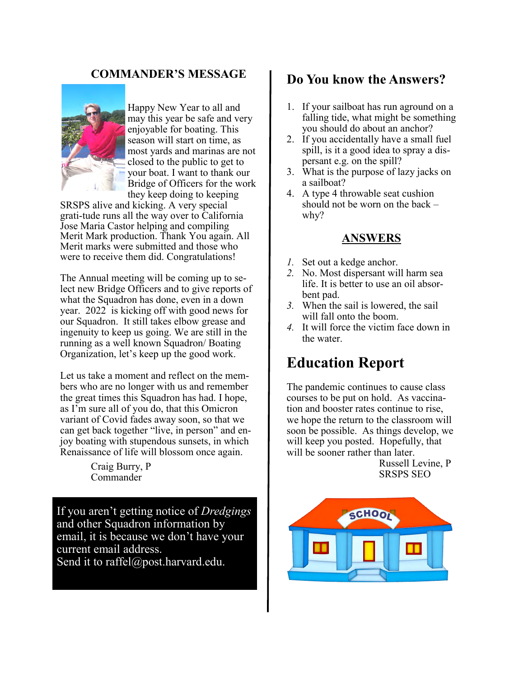#### **COMMANDER'S MESSAGE**



Happy New Year to all and may this year be safe and very enjoyable for boating. This season will start on time, as most yards and marinas are not closed to the public to get to your boat. I want to thank our Bridge of Officers for the work they keep doing to keeping

SRSPS alive and kicking. A very special grati-tude runs all the way over to California Jose Maria Castor helping and compiling Merit Mark production. Thank You again. All Merit marks were submitted and those who were to receive them did. Congratulations!

The Annual meeting will be coming up to select new Bridge Officers and to give reports of what the Squadron has done, even in a down year. 2022 is kicking off with good news for our Squadron. It still takes elbow grease and ingenuity to keep us going. We are still in the running as a well known Squadron/ Boating Organization, let's keep up the good work.

Let us take a moment and reflect on the members who are no longer with us and remember the great times this Squadron has had. I hope, as I'm sure all of you do, that this Omicron variant of Covid fades away soon, so that we can get back together "live, in person" and enjoy boating with stupendous sunsets, in which Renaissance of life will blossom once again.

> Craig Burry, P Commander

If you aren't getting notice of *Dredgings* and other Squadron information by email, it is because we don't have your current email address. Send it to raffel@post.harvard.edu.

#### **Do You know the Answers?**

- 1. If your sailboat has run aground on a falling tide, what might be something you should do about an anchor?
- 2. If you accidentally have a small fuel spill, is it a good idea to spray a dispersant e.g. on the spill?
- 3. What is the purpose of lazy jacks on a sailboat?
- 4. A type 4 throwable seat cushion should not be worn on the back – why?

#### **ANSWERS**

- *1.* Set out a kedge anchor.
- *2.* No. Most dispersant will harm sea life. It is better to use an oil absorbent pad.
- *3.* When the sail is lowered, the sail will fall onto the boom.
- *4.* It will force the victim face down in the water.

### **Education Report**

The pandemic continues to cause class courses to be put on hold. As vaccination and booster rates continue to rise, we hope the return to the classroom will soon be possible. As things develop, we will keep you posted. Hopefully, that will be sooner rather than later.

Russell Levine, P SRSPS SEO

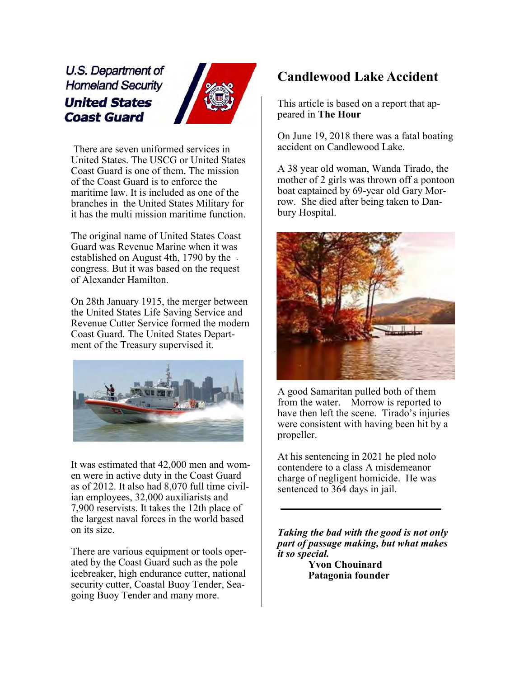U.S. Department of **Homeland Security United States Coast Guard** 



There are seven uniformed services in United States. The USCG or United States Coast Guard is one of them. The mission of the Coast Guard is to enforce the maritime law. It is included as one of the branches in the United States Military for it has the multi mission maritime function.

The original name of United States Coast Guard was Revenue Marine when it was established on August 4th, 1790 by the congress. But it was based on the request of Alexander Hamilton.

On 28th January 1915, the merger between the United States Life Saving Service and Revenue Cutter Service formed the modern Coast Guard. The United States Department of the Treasury supervised it.



It was estimated that 42,000 men and women were in active duty in the Coast Guard as of 2012. It also had 8,070 full time civilian employees, 32,000 auxiliarists and 7,900 reservists. It takes the 12th place of the largest naval forces in the world based on its size.

There are various equipment or tools operated by the Coast Guard such as the pole icebreaker, high endurance cutter, national security cutter, Coastal Buoy Tender, Seagoing Buoy Tender and many more.

#### **Candlewood Lake Accident**

This article is based on a report that appeared in **The Hour**

On June 19, 2018 there was a fatal boating accident on Candlewood Lake.

A 38 year old woman, Wanda Tirado, the mother of 2 girls was thrown off a pontoon boat captained by 69-year old Gary Morrow. She died after being taken to Danbury Hospital.



A good Samaritan pulled both of them from the water. Morrow is reported to have then left the scene. Tirado's injuries were consistent with having been hit by a propeller.

At his sentencing in 2021 he pled nolo contendere to a class A misdemeanor charge of negligent homicide. He was sentenced to 364 days in jail.

*Taking the bad with the good is not only part of passage making, but what makes it so special.*

**Yvon Chouinard Patagonia founder**